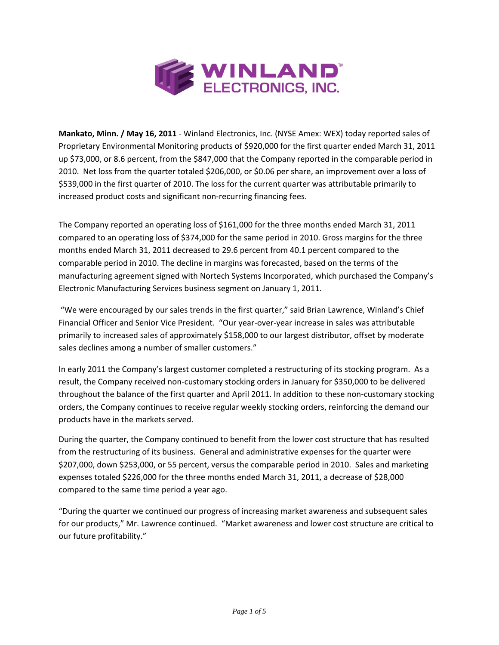

**Mankato, Minn. / May 16, 2011** ‐ Winland Electronics, Inc. (NYSE Amex: WEX) today reported sales of Proprietary Environmental Monitoring products of \$920,000 for the first quarter ended March 31, 2011 up \$73,000, or 8.6 percent, from the \$847,000 that the Company reported in the comparable period in 2010. Net loss from the quarter totaled \$206,000, or \$0.06 per share, an improvement over a loss of \$539,000 in the first quarter of 2010. The loss for the current quarter was attributable primarily to increased product costs and significant non‐recurring financing fees.

The Company reported an operating loss of \$161,000 for the three months ended March 31, 2011 compared to an operating loss of \$374,000 for the same period in 2010. Gross margins for the three months ended March 31, 2011 decreased to 29.6 percent from 40.1 percent compared to the comparable period in 2010. The decline in margins was forecasted, based on the terms of the manufacturing agreement signed with Nortech Systems Incorporated, which purchased the Company's Electronic Manufacturing Services business segment on January 1, 2011.

"We were encouraged by our sales trends in the first quarter," said Brian Lawrence, Winland's Chief Financial Officer and Senior Vice President. "Our year-over-year increase in sales was attributable primarily to increased sales of approximately \$158,000 to our largest distributor, offset by moderate sales declines among a number of smaller customers."

In early 2011 the Company's largest customer completed a restructuring of its stocking program. As a result, the Company received non‐customary stocking orders in January for \$350,000 to be delivered throughout the balance of the first quarter and April 2011. In addition to these non‐customary stocking orders, the Company continues to receive regular weekly stocking orders, reinforcing the demand our products have in the markets served.

During the quarter, the Company continued to benefit from the lower cost structure that has resulted from the restructuring of its business. General and administrative expenses for the quarter were \$207,000, down \$253,000, or 55 percent, versus the comparable period in 2010. Sales and marketing expenses totaled \$226,000 for the three months ended March 31, 2011, a decrease of \$28,000 compared to the same time period a year ago.

"During the quarter we continued our progress of increasing market awareness and subsequent sales for our products," Mr. Lawrence continued. "Market awareness and lower cost structure are critical to our future profitability."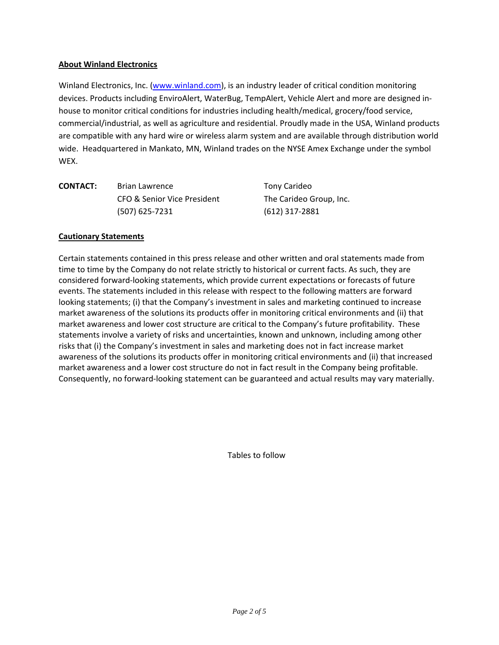## **About Winland Electronics**

Winland Electronics, Inc. (www.winland.com), is an industry leader of critical condition monitoring devices. Products including EnviroAlert, WaterBug, TempAlert, Vehicle Alert and more are designed in‐ house to monitor critical conditions for industries including health/medical, grocery/food service, commercial/industrial, as well as agriculture and residential. Proudly made in the USA, Winland products are compatible with any hard wire or wireless alarm system and are available through distribution world wide. Headquartered in Mankato, MN, Winland trades on the NYSE Amex Exchange under the symbol WEX.

| <b>CONTACT:</b> | <b>Brian Lawrence</b>       | Tony Carideo            |  |
|-----------------|-----------------------------|-------------------------|--|
|                 | CFO & Senior Vice President | The Carideo Group, Inc. |  |
|                 | $(507)$ 625-7231            | (612) 317-2881          |  |

#### **Cautionary Statements**

Certain statements contained in this press release and other written and oral statements made from time to time by the Company do not relate strictly to historical or current facts. As such, they are considered forward‐looking statements, which provide current expectations or forecasts of future events. The statements included in this release with respect to the following matters are forward looking statements; (i) that the Company's investment in sales and marketing continued to increase market awareness of the solutions its products offer in monitoring critical environments and (ii) that market awareness and lower cost structure are critical to the Company's future profitability. These statements involve a variety of risks and uncertainties, known and unknown, including among other risks that (i) the Company's investment in sales and marketing does not in fact increase market awareness of the solutions its products offer in monitoring critical environments and (ii) that increased market awareness and a lower cost structure do not in fact result in the Company being profitable. Consequently, no forward‐looking statement can be guaranteed and actual results may vary materially.

Tables to follow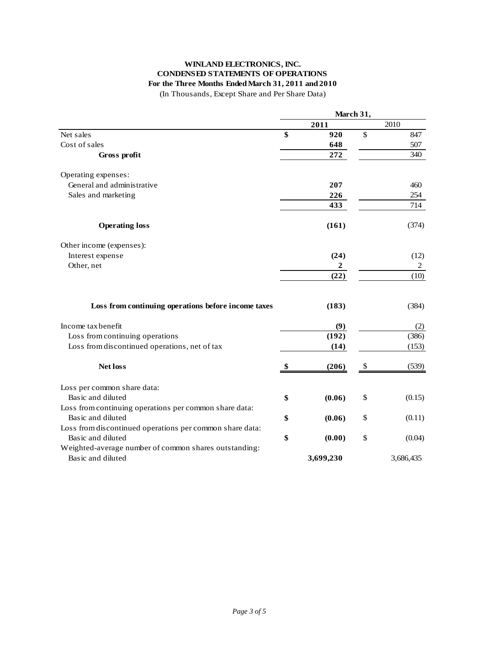## **WINLAND ELECTRONICS, INC. CONDENSED STATEMENTS OF OPERATIONS For the Three Months Ended March 31, 2011 and 2010**

(In Thousands, Except Share and Per Share Data)

|                                                          | March 31, |           |       |           |
|----------------------------------------------------------|-----------|-----------|-------|-----------|
|                                                          |           | 2011      |       | 2010      |
| Net sales                                                | \$        | 920       | \$    | 847       |
| Cost of sales                                            |           | 648       |       | 507       |
| Gross profit                                             |           | 272       |       | 340       |
| Operating expenses:                                      |           |           |       |           |
| General and administrative                               |           | 207       |       | 460       |
| Sales and marketing                                      |           | 226       |       | 254       |
|                                                          |           | 433       |       | 714       |
| <b>Operating loss</b>                                    |           | (161)     |       | (374)     |
| Other income (expenses):                                 |           |           |       |           |
| Interest expense                                         |           | (24)      |       | (12)      |
| Other, net                                               |           | 2         |       | 2         |
|                                                          |           | (22)      |       | (10)      |
| Loss from continuing operations before income taxes      |           | (183)     |       | (384)     |
| Income tax benefit                                       |           | (9)       |       | (2)       |
| Loss from continuing operations                          | (192)     |           | (386) |           |
| Loss from discontinued operations, net of tax            |           | (14)      |       | (153)     |
| <b>Net loss</b>                                          | \$        | (206)     | \$    | (539)     |
| Loss per common share data:                              |           |           |       |           |
| Basic and diluted                                        | \$        | (0.06)    | \$    | (0.15)    |
| Loss from continuing operations per common share data:   |           |           |       |           |
| Basic and diluted                                        | \$        | (0.06)    | \$    | (0.11)    |
| Loss from discontinued operations per common share data: |           |           |       |           |
| Basic and diluted                                        | \$        | (0.00)    | \$    | (0.04)    |
| Weighted-average number of common shares outstanding:    |           |           |       |           |
| Basic and diluted                                        |           | 3,699,230 |       | 3,686,435 |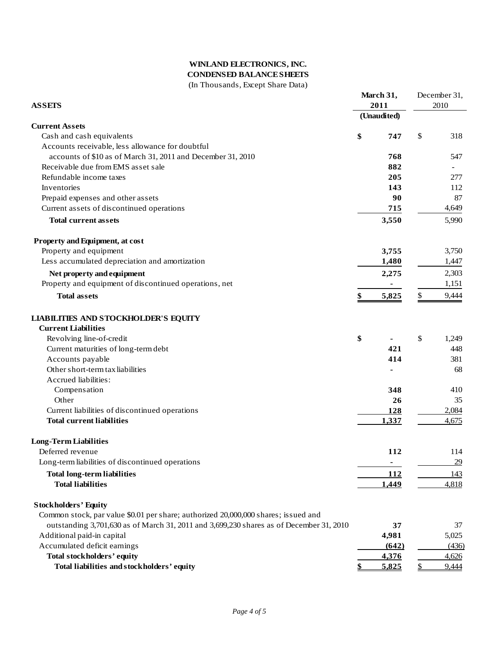### **WINLAND ELECTRONICS, INC. CONDENSED BALANCE SHEETS** (In Thousands, Except Share Data)

| <b>ASSETS</b>                                                                           |    | March 31,<br>2011 |    | December 31,<br>2010 |  |
|-----------------------------------------------------------------------------------------|----|-------------------|----|----------------------|--|
|                                                                                         |    | (Unaudited)       |    |                      |  |
| <b>Current Assets</b>                                                                   |    |                   |    |                      |  |
| Cash and cash equivalents                                                               | \$ | 747               | \$ | 318                  |  |
| Accounts receivable, less allowance for doubtful                                        |    |                   |    |                      |  |
| accounts of \$10 as of March 31, 2011 and December 31, 2010                             |    | 768               |    | 547                  |  |
| Receivable due from EMS asset sale                                                      |    | 882               |    |                      |  |
| Refundable income taxes                                                                 |    | 205               |    | 277                  |  |
| Inventories                                                                             |    | 143               |    | 112                  |  |
| Prepaid expenses and other assets                                                       |    | 90                |    | 87                   |  |
| Current assets of discontinued operations                                               |    | 715               |    | 4,649                |  |
| <b>Total current assets</b>                                                             |    | 3,550             |    | 5,990                |  |
| Property and Equipment, at cost                                                         |    |                   |    |                      |  |
| Property and equipment                                                                  |    | 3,755             |    | 3,750                |  |
| Less accumulated depreciation and amortization                                          |    | 1,480             |    | 1,447                |  |
| Net property and equipment                                                              |    | 2,275             |    | 2,303                |  |
| Property and equipment of discontinued operations, net                                  |    |                   |    | 1,151                |  |
|                                                                                         |    |                   |    |                      |  |
| <b>Total assets</b>                                                                     | \$ | 5,825             | \$ | 9,444                |  |
| <b>LIABILITIES AND STOCKHOLDER'S EQUITY</b>                                             |    |                   |    |                      |  |
| <b>Current Liabilities</b>                                                              |    |                   |    |                      |  |
| Revolving line-of-credit                                                                | \$ |                   | \$ | 1,249                |  |
| Current maturities of long-term debt                                                    |    | 421               |    | 448                  |  |
| Accounts payable                                                                        |    | 414               |    | 381                  |  |
| Other short-term tax liabilities                                                        |    |                   |    | 68                   |  |
| Accrued liabilities:                                                                    |    |                   |    |                      |  |
| Compensation                                                                            |    | 348               |    | 410                  |  |
| Other                                                                                   |    | 26                |    | 35                   |  |
| Current liabilities of discontinued operations                                          |    | 128               |    | 2,084                |  |
| <b>Total current liabilities</b>                                                        |    | 1,337             |    | 4,675                |  |
| <b>Long-Term Liabilities</b>                                                            |    |                   |    |                      |  |
| Deferred revenue                                                                        |    | 112               |    | 114                  |  |
| Long-term liabilities of discontinued operations                                        |    | ٠                 |    | 29                   |  |
| <b>Total long-term liabilities</b>                                                      |    | 112               |    | 143                  |  |
| <b>Total liabilities</b>                                                                |    | 1,449             |    | 4,818                |  |
| <b>Stockholders' Equity</b>                                                             |    |                   |    |                      |  |
| Common stock, par value \$0.01 per share; authorized 20,000,000 shares; issued and      |    |                   |    |                      |  |
| outstanding 3,701,630 as of March 31, 2011 and 3,699,230 shares as of December 31, 2010 |    | 37                |    | 37                   |  |
| Additional paid-in capital                                                              |    | 4,981             |    | 5,025                |  |
| Accumulated deficit earnings                                                            |    | (642)             |    | (436)                |  |
| <b>Total stockholders' equity</b>                                                       |    | 4,376             |    | 4,626                |  |
| Total liabilities and stockholders' equity                                              |    | 5,825             |    | 9,444                |  |